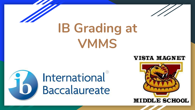

# **IB Grading at VMMS**

### **VISTA MAGNET**



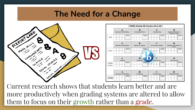### **The Need for a Change**



Current research shows that students learn better and are more productively when grading systems are altered to allow them to focus on their growth rather than a grade.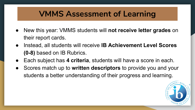# **VMMS Assessment of Learning**

- New this year: VMMS students will **not receive letter grades** on their report cards.
- Instead, all students will receive **IB Achievement Level Scores (0-8)** based on IB Rubrics.
- Each subject has 4 criteria, students will have a score in each.
- Scores match up to **written descriptors** to provide you and your students a better understanding of their progress and learning.

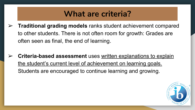### **What are criteria?**

- ➢ **Traditional grading models** ranks student achievement compared to other students. There is not often room for growth: Grades are often seen as final, the end of learning.
- ➢ **Criteria-based assessment** uses written explanations to explain the student's current level of achievement on learning goals. Students are encouraged to continue learning and growing.

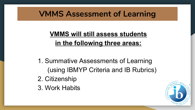# **VMMS Assessment of Learning**

### **VMMS will still assess students in the following three areas:**

- 1. Summative Assessments of Learning (using IBMYP Criteria and IB Rubrics)
- 2. Citizenship
- 3. Work Habits

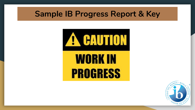### **Sample IB Progress Report & Key**



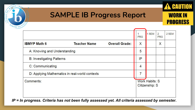

### **SAMPLE IB Progress Report**

**CAUTION** 

**WORK IN** 

**PROGRESS** 

|                                                |                       |                                         | 1 SEM                          | $\overline{2}$ | 2 SEM |
|------------------------------------------------|-----------------------|-----------------------------------------|--------------------------------|----------------|-------|
|                                                |                       | <b>PRG</b>                              |                                | <b>PRG</b>     |       |
| <b>Teacher Name</b>                            | <b>Overall Grade:</b> | X                                       |                                | X              |       |
| A: Knowing and Understanding                   |                       |                                         |                                |                |       |
| <b>B: Investigating Patterns</b>               |                       |                                         |                                |                |       |
| C: Communicating                               |                       |                                         |                                |                |       |
| D: Applying Mathematics in real-world contexts |                       |                                         |                                |                |       |
| Comments:                                      |                       | <b>Work Habits: S</b><br>Citizenship: S |                                |                |       |
|                                                |                       |                                         | 5<br>IP<br>$\overline{4}$<br>7 |                |       |

*IP = In progress. Criteria has not been fully assessed yet. All criteria assessed by semester.*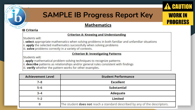

### **SAMPLE IB Progress Report Key**

**CAUTION** 

**WORK IN** 

**PROGRESS** 

#### **Mathematics**

#### **IB Criteria**

#### **Criterion A: Knowing and Understanding**

Students will:

i. select appropriate mathematics when solving problems in both familiar and unfamiliar situations

ii. apply the selected mathematics successfully when solving problems

iii. solve problems correctly in a variety of contexts.

#### **Criterion B: Investigating Patterns**

Students will:

i. apply mathematical problem-solving techniques to recognize patterns

ii. describe patterns as relationships and/or general rules consistent with findings

iii. verify whether the pattern works for other examples.

| <b>Achievement Level</b> | <b>Student Performance</b>                                                 |  |
|--------------------------|----------------------------------------------------------------------------|--|
| $7 - 8$                  | <b>Excellent</b>                                                           |  |
| $5-6$                    | <b>Substantial</b>                                                         |  |
| $3 - 4$                  | <b>Adequate</b>                                                            |  |
| $1 - 2$                  | Limited                                                                    |  |
|                          | The student does not reach a standard described by any of the descriptors. |  |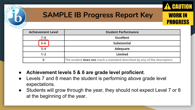

### **SAMPLE IB Progress Report Key**

**WORK IN** 

**PROGRESS** 

| <b>Achievement Level</b><br><b>Student Performance</b> |                                                                            |
|--------------------------------------------------------|----------------------------------------------------------------------------|
| $7 - 8$                                                | <b>Excellent</b>                                                           |
| $5-6$                                                  | <b>Substantial</b>                                                         |
| $3 - 4$                                                | <b>Adequate</b>                                                            |
| $1 - 2$                                                | Limited                                                                    |
|                                                        | The student does not reach a standard described by any of the descriptors. |

- **Achievement levels 5 & 6 are grade level proficient**.
- Levels 7 and 8 mean the student is performing above grade level expectations.
- Students will grow through the year, they should not expect Level 7 or 8 at the beginning of the year.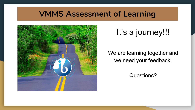### **VMMS Assessment of Learning**



# It's a journey!!!

### We are learning together and we need your feedback.

### Questions?